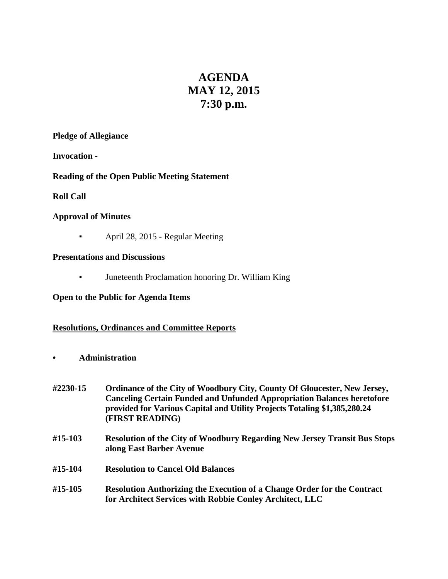# **AGENDA MAY 12, 2015 7:30 p.m.**

#### **Pledge of Allegiance**

**Invocation** -

# **Reading of the Open Public Meeting Statement**

# **Roll Call**

# **Approval of Minutes**

▪ April 28, 2015 - Regular Meeting

# **Presentations and Discussions**

▪ Juneteenth Proclamation honoring Dr. William King

# **Open to the Public for Agenda Items**

# **Resolutions, Ordinances and Committee Reports**

- **• Administration**
- **#2230-15 Ordinance of the City of Woodbury City, County Of Gloucester, New Jersey, Canceling Certain Funded and Unfunded Appropriation Balances heretofore provided for Various Capital and Utility Projects Totaling \$1,385,280.24 (FIRST READING)**
- **#15-103 Resolution of the City of Woodbury Regarding New Jersey Transit Bus Stops along East Barber Avenue**
- **#15-104 Resolution to Cancel Old Balances**
- **#15-105 Resolution Authorizing the Execution of a Change Order for the Contract for Architect Services with Robbie Conley Architect, LLC**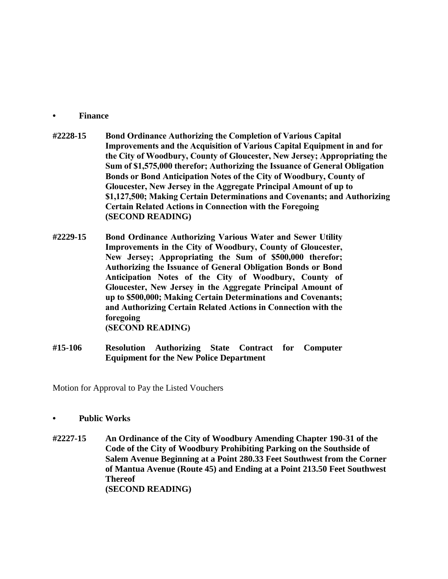#### **• Finance**

- **#2228-15 Bond Ordinance Authorizing the Completion of Various Capital Improvements and the Acquisition of Various Capital Equipment in and for the City of Woodbury, County of Gloucester, New Jersey; Appropriating the Sum of \$1,575,000 therefor; Authorizing the Issuance of General Obligation Bonds or Bond Anticipation Notes of the City of Woodbury, County of Gloucester, New Jersey in the Aggregate Principal Amount of up to \$1,127,500; Making Certain Determinations and Covenants; and Authorizing Certain Related Actions in Connection with the Foregoing (SECOND READING)**
- **#2229-15 Bond Ordinance Authorizing Various Water and Sewer Utility Improvements in the City of Woodbury, County of Gloucester, New Jersey; Appropriating the Sum of \$500,000 therefor; Authorizing the Issuance of General Obligation Bonds or Bond Anticipation Notes of the City of Woodbury, County of Gloucester, New Jersey in the Aggregate Principal Amount of up to \$500,000; Making Certain Determinations and Covenants; and Authorizing Certain Related Actions in Connection with the foregoing (SECOND READING)**
- **#15-106 Resolution Authorizing State Contract for Computer Equipment for the New Police Department**

Motion for Approval to Pay the Listed Vouchers

- **• Public Works**
- **#2227-15 An Ordinance of the City of Woodbury Amending Chapter 190-31 of the Code of the City of Woodbury Prohibiting Parking on the Southside of Salem Avenue Beginning at a Point 280.33 Feet Southwest from the Corner of Mantua Avenue (Route 45) and Ending at a Point 213.50 Feet Southwest Thereof (SECOND READING)**